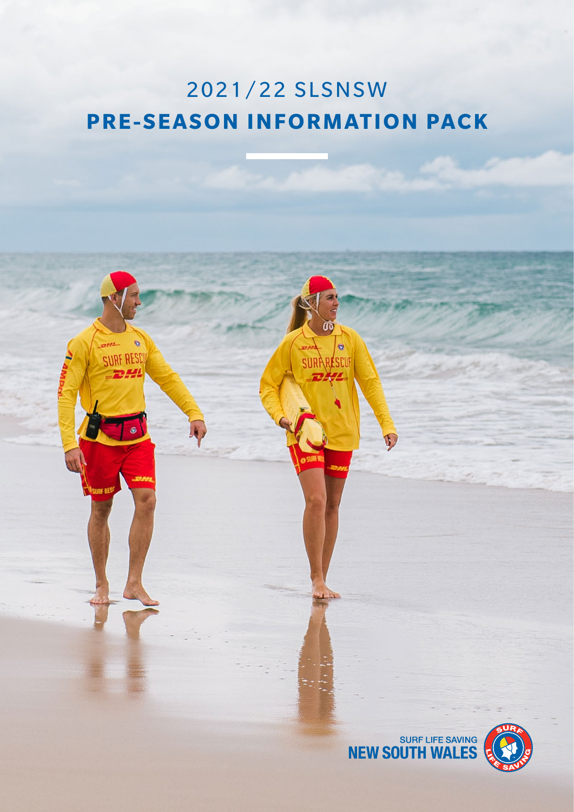### 2021/22 SLSNSW **PRE-SEASON INFORMATION PACK**

**a** 

SURARESCUP

O

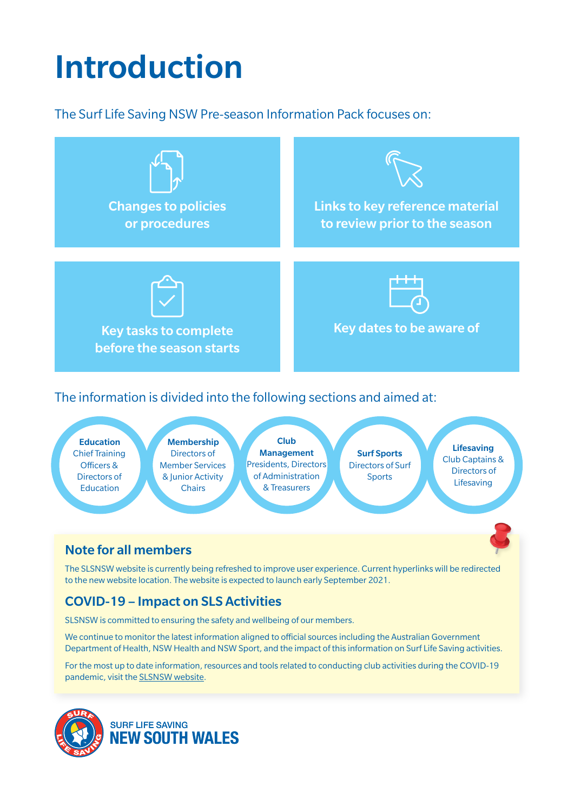# Introduction

### The Surf Life Saving NSW Pre-season Information Pack focuses on:



Officers & Directors of Education

Member Services & Junior Activity **Chairs** 

Presidents, Directors of Administration & Treasurers

Directors of Surf Sports

Directors of Lifesaving

### Note for all members

The SLSNSW website is currently being refreshed to improve user experience. Current hyperlinks will be redirected to the new website location. The website is expected to launch early September 2021.

### COVID-19 – Impact on SLS Activities

SLSNSW is committed to ensuring the safety and wellbeing of our members.

We continue to monitor the latest information aligned to official sources including the Australian Government Department of Health, NSW Health and NSW Sport, and the impact of this information on Surf Life Saving activities.

For the most up to date information, resources and tools related to conducting club activities during the COVID-19 pandemic, visit the [SLSNSW website.](https://www.surflifesaving.com.au/resources/coronavirus-covid-19-updates-resources-slsnsw-clubs)

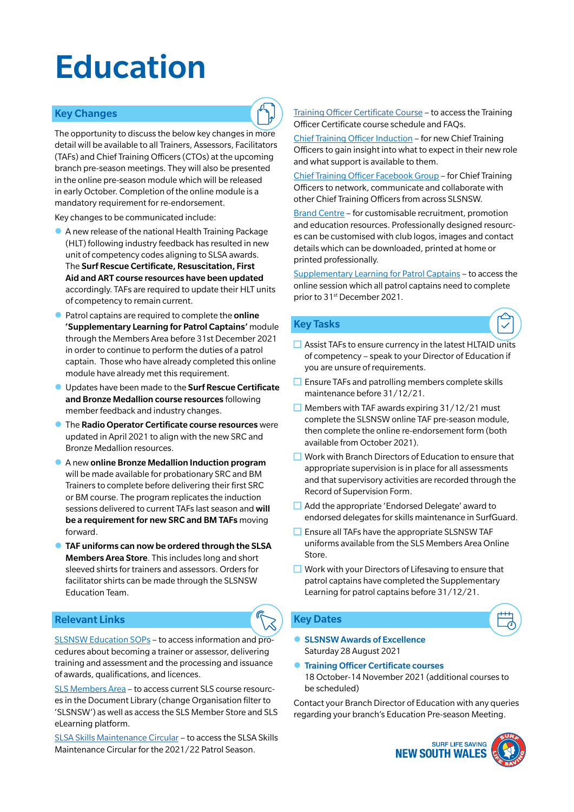### Education

#### Key Changes

The opportunity to discuss the below key changes in more detail will be available to all Trainers, Assessors, Facilitators (TAFs) and Chief Training Officers (CTOs) at the upcoming branch pre-season meetings. They will also be presented in the online pre-season module which will be released in early October. Completion of the online module is a mandatory requirement for re-endorsement.

Key changes to be communicated include:

- $\bullet$  A new release of the national Health Training Package (HLT) following industry feedback has resulted in new unit of competency codes aligning to SLSA awards. The Surf Rescue Certificate, Resuscitation, First Aid and ART course resources have been updated accordingly. TAFs are required to update their HLT units of competency to remain current.
- Patrol captains are required to complete the online 'Supplementary Learning for Patrol Captains' module through the Members Area before 31st December 2021 in order to continue to perform the duties of a patrol captain. Those who have already completed this online module have already met this requirement.
- **ID** Updates have been made to the **Surf Rescue Certificate** and Bronze Medallion course resources following member feedback and industry changes.
- **The Radio Operator Certificate course resources** were updated in April 2021 to align with the new SRC and Bronze Medallion resources.
- **A new online Bronze Medallion Induction program** will be made available for probationary SRC and BM Trainers to complete before delivering their first SRC or BM course. The program replicates the induction sessions delivered to current TAFs last season and will be a requirement for new SRC and BM TAFs moving forward.
- **TAF uniforms can now be ordered through the SLSA** Members Area Store. This includes long and short sleeved shirts for trainers and assessors. Orders for facilitator shirts can be made through the SLSNSW Education Team.

#### Relevant Links

[SLSNSW Education SOPs](https://www.surflifesaving.com.au/sites/site.test/files/SLSNSW%20Member%20Training%20and%20Education%20SOPs.pdf) – to access information and procedures about becoming a trainer or assessor, delivering training and assessment and the processing and issuance of awards, qualifications, and licences.

[SLS Members Area](https://members.sls.com.au/) – to access current SLS course resources in the Document Library (change Organisation filter to 'SLSNSW') as well as access the SLS Member Store and SLS eLearning platform.

[SLSA Skills Maintenance Circular](https://www.surflifesaving.com.au/circulars/slsa-circular-02-2021-22-skills-maintenance-proficiency-check-requirements-2021-22-season) – to access the SLSA Skills Maintenance Circular for the 2021/22 Patrol Season.

[Training Officer Certificate Course](https://www.surflifesaving.com.au/resources/training-officer-certificate-course-canvas-enabled) – to access the Training Officer Certificate course schedule and FAQs.

[Chief Training Officer Induction](https://www.surflifesaving.com.au/induction-clubchieftrainingofficer) – for new Chief Training Officers to gain insight into what to expect in their new role and what support is available to them.

[Chief Training Officer Facebook Group](https://www.facebook.com/groups/664464053692193/) – for Chief Training Officers to network, communicate and collaborate with other Chief Training Officers from across SLSNSW.

[Brand Centre](https://slsnswbrandcentre.com.au/) – for customisable recruitment, promotion and education resources. Professionally designed resources can be customised with club logos, images and contact details which can be downloaded, printed at home or printed professionally.

[Supplementary Learning for Patrol Captains](https://www.surflifesaving.com.au/resources/supplementary-learning-patrol-captains) – to access the online session which all patrol captains need to complete prior to 31<sup>st</sup> December 2021.

#### Key Tasks

- $\Box$  Assist TAFs to ensure currency in the latest HLTAID units of competency – speak to your Director of Education if you are unsure of requirements.
- $\Box$  Ensure TAFs and patrolling members complete skills maintenance before 31/12/21.
- $\Box$  Members with TAF awards expiring 31/12/21 must complete the SLSNSW online TAF pre-season module, then complete the online re-endorsement form (both available from October 2021).
- $\Box$  Work with Branch Directors of Education to ensure that appropriate supervision is in place for all assessments and that supervisory activities are recorded through the Record of Supervision Form.
- $\Box$  Add the appropriate 'Endorsed Delegate' award to endorsed delegates for skills maintenance in SurfGuard.
- $\Box$  Ensure all TAFs have the appropriate SLSNSW TAF uniforms available from the SLS Members Area Online Store.
- $\Box$  Work with your Directors of Lifesaving to ensure that patrol captains have completed the Supplementary Learning for patrol captains before 31/12/21.

#### Key Dates

- SLSNSW Awards of Excellence Saturday 28 August 2021
- **Training Officer Certificate courses** 18 October-14 November 2021 (additional courses to be scheduled)

Contact your Branch Director of Education with any queries regarding your branch's Education Pre-season Meeting.

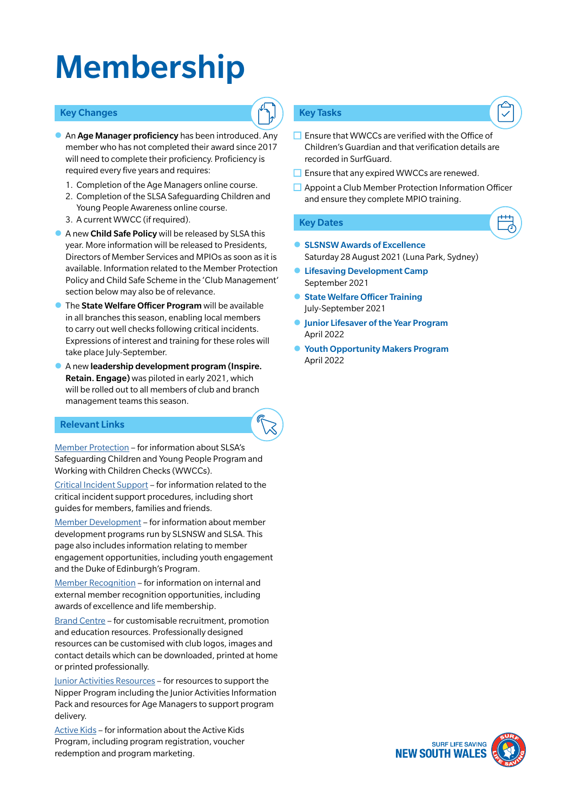## Membership

#### Key Changes

- **An Age Manager proficiency** has been introduced. Any member who has not completed their award since 2017 will need to complete their proficiency. Proficiency is required every five years and requires:
	- 1. Completion of the Age Managers online course.
	- 2. Completion of the SLSA Safeguarding Children and Young People Awareness online course.
	- 3. A current WWCC (if required).
- A new Child Safe Policy will be released by SLSA this year. More information will be released to Presidents, Directors of Member Services and MPIOs as soon as it is available. Information related to the Member Protection Policy and Child Safe Scheme in the 'Club Management' section below may also be of relevance.
- **The State Welfare Officer Program** will be available in all branches this season, enabling local members to carry out well checks following critical incidents. Expressions of interest and training for these roles will take place July-September.
- A new leadership development program (Inspire. Retain. Engage) was piloted in early 2021, which will be rolled out to all members of club and branch management teams this season.

#### Relevant Links

[Member Protection](https://www.surflifesaving.com.au/resources/member-safeguarding) – for information about SLSA's Safeguarding Children and Young People Program and Working with Children Checks (WWCCs).

[Critical Incident Support](https://www.surflifesaving.com.au/resources/critical-incident-support) – for information related to the critical incident support procedures, including short guides for members, families and friends.

[Member Development](https://www.surflifesaving.com.au/resources/member-development) – for information about member development programs run by SLSNSW and SLSA. This page also includes information relating to member engagement opportunities, including youth engagement and the Duke of Edinburgh's Program.

[Member Recognition](https://www.surflifesaving.com.au/resources/surf-life-saving-recognition) – for information on internal and external member recognition opportunities, including awards of excellence and life membership.

[Brand Centre](https://slsnswbrandcentre.com.au) – for customisable recruitment, promotion and education resources. Professionally designed resources can be customised with club logos, images and contact details which can be downloaded, printed at home or printed professionally.

[Junior Activities Resources](https://www.surflifesaving.com.au/resources/junior-activities-nippers) – for resources to support the Nipper Program including the Junior Activities Information Pack and resources for Age Managers to support program delivery.

[Active Kids](https://www.surflifesaving.com.au/resources/active-kids) – for information about the Active Kids Program, including program registration, voucher redemption and program marketing.

#### Key Tasks

 $\Box$  Ensure that WWCCs are verified with the Office of Children's Guardian and that verification details are recorded in SurfGuard.

 $\checkmark$ 

- $\Box$  Ensure that any expired WWCCs are renewed.
- $\Box$  Appoint a Club Member Protection Information Officer and ensure they complete MPIO training.

- **SLSNSW Awards of Excellence** Saturday 28 August 2021 (Luna Park, Sydney)
- **Lifesaving Development Camp** September 2021
- **State Welfare Officer Training** July-September 2021
- **ID Junior Lifesaver of the Year Program** April 2022
- **Youth Opportunity Makers Program** April 2022

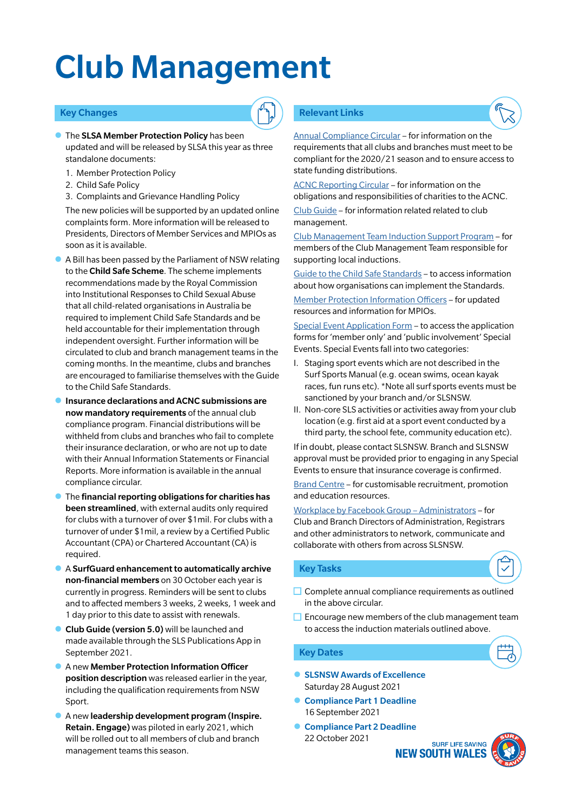## Club Management

#### Key Changes

- **The SLSA Member Protection Policy has been** updated and will be released by SLSA this year as three standalone documents:
	- 1. Member Protection Policy
	- 2. Child Safe Policy
	- 3. Complaints and Grievance Handling Policy

The new policies will be supported by an updated online complaints form. More information will be released to Presidents, Directors of Member Services and MPIOs as soon as it is available.

- l A Bill has been passed by the Parliament of NSW relating to the Child Safe Scheme. The scheme implements recommendations made by the Royal Commission into Institutional Responses to Child Sexual Abuse that all child-related organisations in Australia be required to implement Child Safe Standards and be held accountable for their implementation through independent oversight. Further information will be circulated to club and branch management teams in the coming months. In the meantime, clubs and branches are encouraged to familiarise themselves with the Guide to the Child Safe Standards.
- l Insurance declarations and ACNC submissions are now mandatory requirements of the annual club compliance program. Financial distributions will be withheld from clubs and branches who fail to complete their insurance declaration, or who are not up to date with their Annual Information Statements or Financial Reports. More information is available in the annual compliance circular.
- The financial reporting obligations for charities has been streamlined, with external audits only required for clubs with a turnover of over \$1mil. For clubs with a turnover of under \$1mil, a review by a Certified Public Accountant (CPA) or Chartered Accountant (CA) is required.
- A SurfGuard enhancement to automatically archive non-financial members on 30 October each year is currently in progress. Reminders will be sent to clubs and to affected members 3 weeks, 2 weeks, 1 week and 1 day prior to this date to assist with renewals.
- **Club Guide (version 5.0)** will be launched and made available through the SLS Publications App in September 2021.
- l A new Member Protection Information Officer position description was released earlier in the year, including the qualification requirements from NSW Sport.
- l A new leadership development program (Inspire. Retain. Engage) was piloted in early 2021, which will be rolled out to all members of club and branch management teams this season.

#### Relevant Links

[Annual Compliance Circular](https://www.surflifesaving.com.au/circulars/circular-3681-annual-compliance-requirements-clubs-and-branches-2021-2022) – for information on the requirements that all clubs and branches must meet to be compliant for the 2020/21 season and to ensure access to state funding distributions.

[ACNC Reporting Circular](https://www.surflifesaving.com.au/circulars/circular-3678-obligations-and-responsibilities-charities-australian-charities-and-not) – for information on the obligations and responsibilities of charities to the ACNC.

[Club Guide](https://www.surflifesaving.com.au/resources/club-management-templates-resources) – for information related related to club management.

[Club Management Team Induction Support Program](https://www.surflifesaving.com.au/resources/club-management-induction) – for members of the Club Management Team responsible for supporting local inductions.

[Guide to the Child Safe Standards](https://www.ocg.nsw.gov.au/ArticleDocuments/838/ChildSafeStandardsGuide.pdf.aspx?Embed=Y) – to access information about how organisations can implement the Standards.

[Member Protection Information Officers](https://www.surflifesaving.com.au/resources/member-protection-information-officer) – for updated resources and information for MPIOs.

[Special Event Application Form](https://www.surflifesaving.com.au/resources/events) – to access the application forms for 'member only' and 'public involvement' Special Events. Special Events fall into two categories:

- I. Staging sport events which are not described in the Surf Sports Manual (e.g. ocean swims, ocean kayak races, fun runs etc). \*Note all surf sports events must be sanctioned by your branch and/or SLSNSW.
- II. Non-core SLS activities or activities away from your club location (e.g. first aid at a sport event conducted by a third party, the school fete, community education etc).

If in doubt, please contact SLSNSW. Branch and SLSNSW approval must be provided prior to engaging in any Special Events to ensure that insurance coverage is confirmed.

[Brand Centre](https://slsnswbrandcentre.com.au/) – for customisable recruitment, promotion and education resources.

[Workplace by Facebook Group – Administrators](https://work.workplace.com/company_creation/invite/?ref=AVs6CBvgz-iLISpkHglxEDfpNxK-771rjrhKRoGE4DCweD23Tx7UkOPRq40P_gKKGlAIydu7mmWinte4LYhrwd1T5cj-JmW1rUMoDS7DgMtsCAlhjILOQEq2ODpiajbs9kslue48wNjMNSYAHLyUjKC9PiTL9RPsYaDwNtfGrbSHnjmyTJEe5AqXeklR-vLWgEJYZ60Dr4GvfqJ9UopU6a26jdLSLKOS0eVLy-92j9mZd9lydrq0aJ3aTJZLp8p3cqe-QgqUMcme7kEiB8ViBJMQx_AKxsSmeTOyvr7lrnfxAthYPA04pmIszRpRp3DPJVWJuSjdxzZQN3fbqc_EdXjrIC0ua0VmOktLAwhy3q4mE6ZK7zypRPaAYl757UeuGpb99fnDDi71eVeE-UF70ln_LlC1bBZSUlzQNZOhDxzonIrRF_ABxagAc274E47vc5M&&gclid=CjwKCAjw_-D3BRBIEiwAjVMy7OCSMmlbSuO4EMKRTtpHyES51dw1zsGfBNbS7D5oeQciuUvdPu_UTRoCH10QAvD_BwE) – for Club and Branch Directors of Administration, Registrars and other administrators to network, communicate and collaborate with others from across SLSNSW.

#### Key Tasks



- $\Box$  Complete annual compliance requirements as outlined in the above circular.
- $\Box$  Encourage new members of the club management team to access the induction materials outlined above.

- SLSNSW Awards of Excellence Saturday 28 August 2021
- **Compliance Part 1 Deadline** 16 September 2021
- **Compliance Part 2 Deadline** 22 October 2021

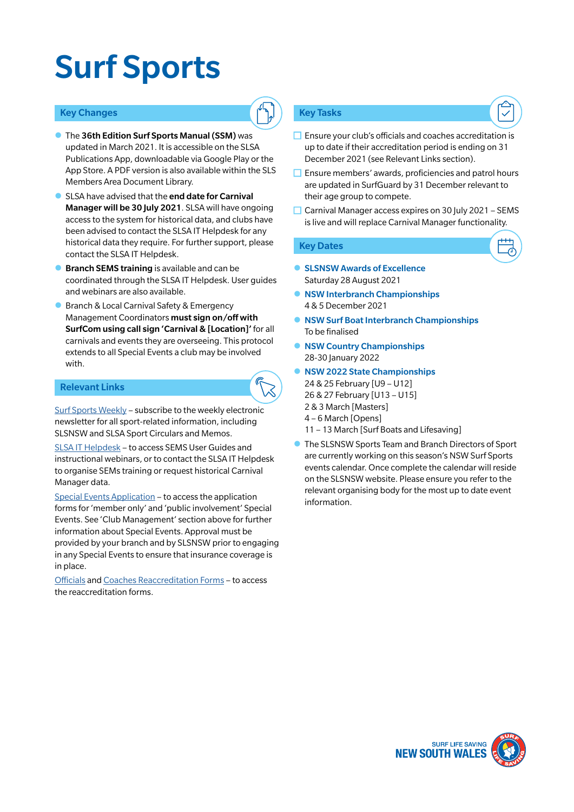## Surf Sports

#### Key Changes

- **The 36th Edition Surf Sports Manual (SSM)** was updated in March 2021. It is accessible on the SLSA Publications App, downloadable via Google Play or the App Store. A PDF version is also available within the SLS Members Area Document Library.
- SLSA have advised that the end date for Carnival Manager will be 30 July 2021. SLSA will have ongoing access to the system for historical data, and clubs have been advised to contact the SLSA IT Helpdesk for any historical data they require. For further support, please contact the SLSA IT Helpdesk.
- **Branch SEMS training** is available and can be coordinated through the SLSA IT Helpdesk. User guides and webinars are also available.
- Branch & Local Carnival Safety & Emergency Management Coordinators must sign on/off with SurfCom using call sign 'Carnival & [Location]' for all carnivals and events they are overseeing. This protocol extends to all Special Events a club may be involved with.

#### Relevant Links

[Surf Sports Weekly](https://www.surflifesaving.com.au/resources/surf-sports-weekly) – subscribe to the weekly electronic newsletter for all sport-related information, including SLSNSW and SLSA Sport Circulars and Memos.

[SLSA IT Helpdesk](https://help.sls.com.au/) – to access SEMS User Guides and instructional webinars, or to contact the SLSA IT Helpdesk to organise SEMs training or request historical Carnival Manager data.

[Special Events Application](https://www.surflifesaving.com.au/resources/events) – to access the application forms for 'member only' and 'public involvement' Special Events. See 'Club Management' section above for further information about Special Events. Approval must be provided by your branch and by SLSNSW prior to engaging in any Special Events to ensure that insurance coverage is in place.

[Officials](https://www.surflifesaving.com.au/downloads/slsa-official-reaccreditation-form) and [Coaches Reaccreditation Forms](https://www.surflifesaving.com.au/downloads/slsa-coach-reaccreditation-form) – to access the reaccreditation forms.

#### Key Tasks

 $\Box$  Ensure your club's officials and coaches accreditation is up to date if their accreditation period is ending on 31 December 2021 (see Relevant Links section).

 $\checkmark$ 

- $\Box$  Ensure members' awards, proficiencies and patrol hours are updated in SurfGuard by 31 December relevant to their age group to compete.
- $\Box$  Carnival Manager access expires on 30 July 2021 SEMS is live and will replace Carnival Manager functionality.

- SLSNSW Awards of Excellence Saturday 28 August 2021
- NSW Interbranch Championships 4 & 5 December 2021
- **NSW Surf Boat Interbranch Championships** To be finalised
- **NSW Country Championships** 28-30 January 2022
- **.** NSW 2022 State Championships 24 & 25 February [U9 – U12] 26 & 27 February [U13 – U15] 2 & 3 March [Masters] 4 – 6 March [Opens]
	- 11 13 March [Surf Boats and Lifesaving]
- **The SLSNSW Sports Team and Branch Directors of Sport** are currently working on this season's NSW Surf Sports events calendar. Once complete the calendar will reside on the SLSNSW website. Please ensure you refer to the relevant organising body for the most up to date event information.